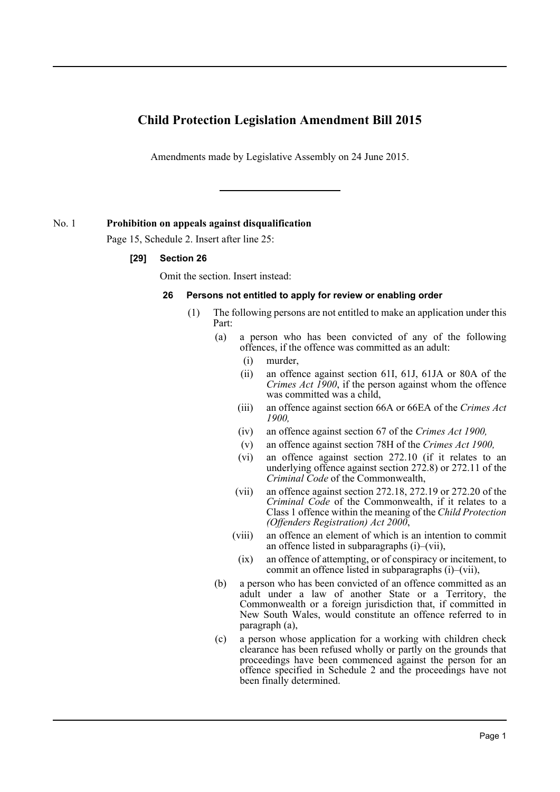# **Child Protection Legislation Amendment Bill 2015**

Amendments made by Legislative Assembly on 24 June 2015.

# No. 1 **Prohibition on appeals against disqualification**

Page 15, Schedule 2. Insert after line 25:

# **[29] Section 26**

Omit the section. Insert instead:

# **26 Persons not entitled to apply for review or enabling order**

- (1) The following persons are not entitled to make an application under this Part:
	- (a) a person who has been convicted of any of the following offences, if the offence was committed as an adult:
		- (i) murder,
		- (ii) an offence against section 61I, 61J, 61JA or 80A of the *Crimes Act 1900*, if the person against whom the offence was committed was a child,
		- (iii) an offence against section 66A or 66EA of the *Crimes Act 1900,*
		- (iv) an offence against section 67 of the *Crimes Act 1900,*
		- (v) an offence against section 78H of the *Crimes Act 1900,*
		- (vi) an offence against section 272.10 (if it relates to an underlying offence against section 272.8) or 272.11 of the *Criminal Code* of the Commonwealth,
		- (vii) an offence against section 272.18, 272.19 or 272.20 of the *Criminal Code* of the Commonwealth, if it relates to a Class 1 offence within the meaning of the *Child Protection (Offenders Registration) Act 2000*,
		- (viii) an offence an element of which is an intention to commit an offence listed in subparagraphs (i)–(vii),
		- (ix) an offence of attempting, or of conspiracy or incitement, to commit an offence listed in subparagraphs (i)–(vii),
	- (b) a person who has been convicted of an offence committed as an adult under a law of another State or a Territory, the Commonwealth or a foreign jurisdiction that, if committed in New South Wales, would constitute an offence referred to in paragraph (a),
	- (c) a person whose application for a working with children check clearance has been refused wholly or partly on the grounds that proceedings have been commenced against the person for an offence specified in Schedule 2 and the proceedings have not been finally determined.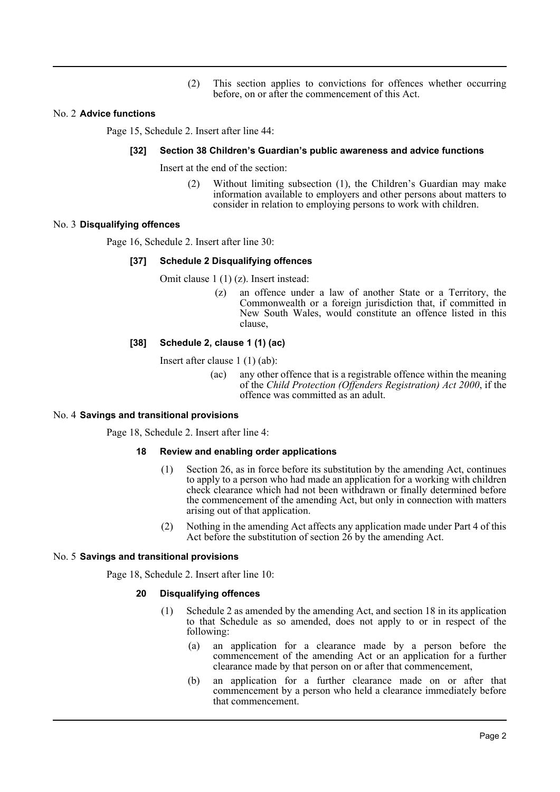(2) This section applies to convictions for offences whether occurring before, on or after the commencement of this Act.

# No. 2 **Advice functions**

Page 15, Schedule 2. Insert after line 44:

#### **[32] Section 38 Children's Guardian's public awareness and advice functions**

Insert at the end of the section:

(2) Without limiting subsection (1), the Children's Guardian may make information available to employers and other persons about matters to consider in relation to employing persons to work with children.

# No. 3 **Disqualifying offences**

Page 16, Schedule 2. Insert after line 30:

# **[37] Schedule 2 Disqualifying offences**

Omit clause 1 (1) (z). Insert instead:

(z) an offence under a law of another State or a Territory, the Commonwealth or a foreign jurisdiction that, if committed in New South Wales, would constitute an offence listed in this clause,

# **[38] Schedule 2, clause 1 (1) (ac)**

Insert after clause 1 (1) (ab):

(ac) any other offence that is a registrable offence within the meaning of the *Child Protection (Offenders Registration) Act 2000*, if the offence was committed as an adult.

#### No. 4 **Savings and transitional provisions**

Page 18, Schedule 2. Insert after line 4:

#### **18 Review and enabling order applications**

- (1) Section 26, as in force before its substitution by the amending Act, continues to apply to a person who had made an application for a working with children check clearance which had not been withdrawn or finally determined before the commencement of the amending Act, but only in connection with matters arising out of that application.
- (2) Nothing in the amending Act affects any application made under Part 4 of this Act before the substitution of section 26 by the amending Act.

#### No. 5 **Savings and transitional provisions**

Page 18, Schedule 2. Insert after line 10:

#### **20 Disqualifying offences**

- (1) Schedule 2 as amended by the amending Act, and section 18 in its application to that Schedule as so amended, does not apply to or in respect of the following:
	- (a) an application for a clearance made by a person before the commencement of the amending Act or an application for a further clearance made by that person on or after that commencement,
	- (b) an application for a further clearance made on or after that commencement by a person who held a clearance immediately before that commencement.